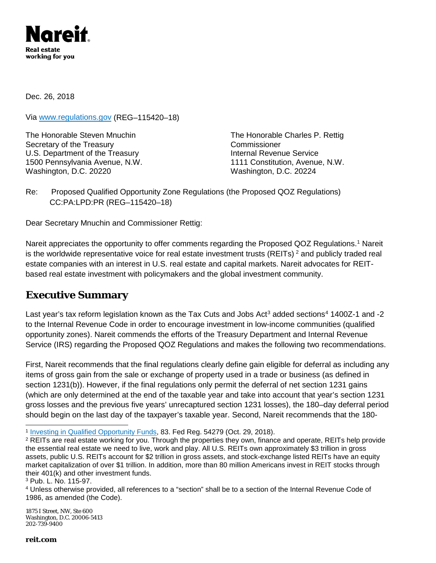

Dec. 26, 2018

Via [www.regulations.gov](http://www.regulations.gov/) (REG–115420–18)

The Honorable Steven Mnuchin The Honorable Charles P. Rettig Secretary of the Treasury Commissioner U.S. Department of the Treasury **Internal Revenue Service** 1500 Pennsylvania Avenue, N.W. 1111 Constitution, Avenue, N.W. Washington, D.C. 20220 Washington, D.C. 20224

Re: Proposed Qualified Opportunity Zone Regulations (the Proposed QOZ Regulations) CC:PA:LPD:PR (REG–115420–18)

Dear Secretary Mnuchin and Commissioner Rettig:

Nareit appreciates the opportunity to offer comments regarding the [Proposed QOZ](https://www.federalregister.gov/documents/2018/08/16/2018-17276/qualified-business-income-deduction) Regulations.<sup>[1](#page-0-0)</sup> Nareit is the worldwide representative voice for real estate investment trusts (REITs)<sup>[2](#page-0-1)</sup> and publicly traded real estate companies with an interest in U.S. real estate and capital markets. Nareit advocates for REITbased real estate investment with policymakers and the global investment community.

## **Executive Summary**

Last year's tax reform legislation known as the Tax Cuts and Jobs Act<sup>[3](#page-0-2)</sup> added sections<sup>[4](#page-0-3)</sup> 1400Z-1 and -2 to the Internal Revenue Code in order to encourage investment in low-income communities (qualified opportunity zones). Nareit commends the efforts of the Treasury Department and Internal Revenue Service (IRS) regarding the Proposed QOZ Regulations and makes the following two recommendations.

First, Nareit recommends that the final regulations clearly define gain eligible for deferral as including any items of gross gain from the sale or exchange of property used in a trade or business (as defined in section 1231(b)). However, if the final regulations only permit the deferral of net section 1231 gains (which are only determined at the end of the taxable year and take into account that year's section 1231 gross losses and the previous five years' unrecaptured section 1231 losses), the 180–day deferral period should begin on the last day of the taxpayer's taxable year. Second, Nareit recommends that the 180-

1875 I Street, NW, Ste 600 Washington, D.C. 20006-5413 202-739-9400

<span id="page-0-1"></span><span id="page-0-0"></span><sup>&</sup>lt;sup>1</sup> Investing in Qualified Opportunity Funds, 83. Fed Reg. 54279 (Oct. 29, 2018).<br><sup>2</sup> REITs are real estate working for you. Through the properties they own, finance and operate, REITs help provide the essential real estate we need to live, work and play. All U.S. REITs own approximately \$3 trillion in gross assets, public U.S. REITs account for \$2 trillion in gross assets, and stock-exchange listed REITs have an equity market capitalization of over \$1 trillion. In addition, more than 80 million Americans invest in REIT stocks through their  $401(k)$  and other investment funds.<br><sup>3</sup> Pub. L. No. 115-97.

<span id="page-0-2"></span>

<span id="page-0-3"></span><sup>&</sup>lt;sup>4</sup> Unless otherwise provided, all references to a "section" shall be to a section of the Internal Revenue Code of 1986, as amended (the Code).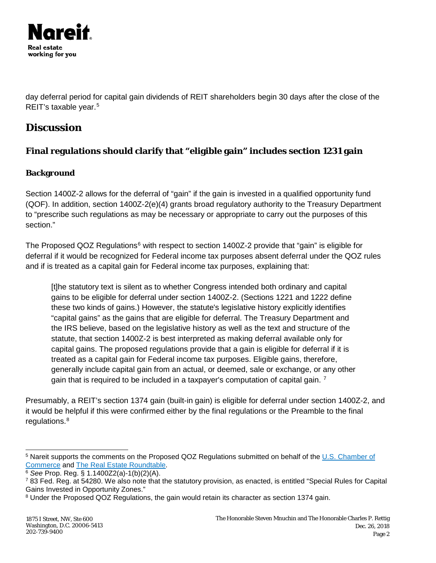

day deferral period for capital gain dividends of REIT shareholders begin 30 days after the close of the REIT's taxable year.<sup>[5](#page-1-0)</sup>

# **Discussion**

## **Final regulations should clarify that "eligible gain" includes section 1231 gain**

### **Background**

Section 1400Z-2 allows for the deferral of "gain" if the gain is invested in a qualified opportunity fund (QOF). In addition, section 1400Z-2(e)(4) grants broad regulatory authority to the Treasury Department to "prescribe such regulations as may be necessary or appropriate to carry out the purposes of this section."

The Proposed QOZ Regulations<sup>[6](#page-1-1)</sup> with respect to section 1400Z-2 provide that "gain" is eligible for deferral if it would be recognized for Federal income tax purposes absent deferral under the QOZ rules and if is treated as a capital gain for Federal income tax purposes, explaining that:

[t]he statutory text is silent as to whether Congress intended both ordinary and capital gains to be eligible for deferral under section 1400Z-2. (Sections 1221 and 1222 define these two kinds of gains.) However, the statute's legislative history explicitly identifies "capital gains" as the gains that are eligible for deferral. The Treasury Department and the IRS believe, based on the legislative history as well as the text and structure of the statute, that section 1400Z-2 is best interpreted as making deferral available only for capital gains. The proposed regulations provide that a gain is eligible for deferral if it is treated as a capital gain for Federal income tax purposes. Eligible gains, therefore, generally include capital gain from an actual, or deemed, sale or exchange, or any other gain that is required to be included in a taxpayer's computation of capital gain. [7](#page-1-2)

Presumably, a REIT's section 1374 gain (built-in gain) is eligible for deferral under section 1400Z-2, and it would be helpful if this were confirmed either by the final regulations or the Preamble to the final regulations. [8](#page-1-3)

<span id="page-1-0"></span><sup>&</sup>lt;sup>5</sup> Nareit supports the comments on the Proposed QOZ Regulations submitted on behalf of the [U.S. Chamber of](https://www.uschamber.com/comment/us-chamber-comments-reg-115420-18-investing-qualified-opportunity-funds-guidance-under-1400z) Commerce and The Real Estate Roundtable.

<span id="page-1-1"></span><sup>&</sup>lt;sup>6</sup> See Prop. Reg. § 1.1400Z2(a)-1(b)(2)(A).

<span id="page-1-2"></span><sup>7</sup> 83 Fed. Reg. at 54280. We also note that the statutory provision, as enacted, is entitled "Special Rules for Capital Gains Invested in Opportunity Zones."

<span id="page-1-3"></span><sup>&</sup>lt;sup>8</sup> Under the Proposed QOZ Regulations, the gain would retain its character as section 1374 gain.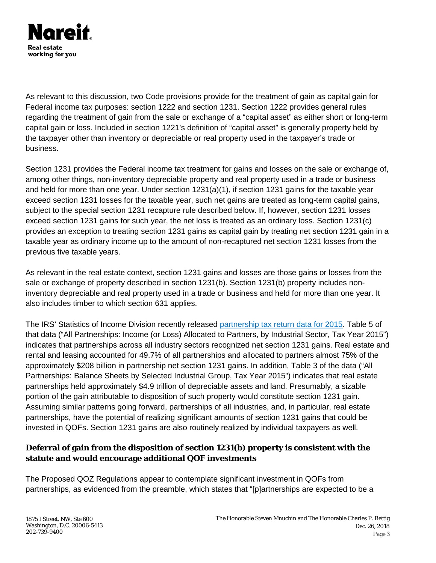

As relevant to this discussion, two Code provisions provide for the treatment of gain as capital gain for Federal income tax purposes: section 1222 and section 1231. Section 1222 provides general rules regarding the treatment of gain from the sale or exchange of a "capital asset" as either short or long-term capital gain or loss. Included in section 1221's definition of "capital asset" is generally property held by the taxpayer other than inventory or depreciable or real property used in the taxpayer's trade or business.

Section 1231 provides the Federal income tax treatment for gains and losses on the sale or exchange of, among other things, non-inventory depreciable property and real property used in a trade or business and held for more than one year. Under section 1231(a)(1), if section 1231 gains for the taxable year exceed section 1231 losses for the taxable year, such net gains are treated as long-term capital gains, subject to the special section 1231 recapture rule described below. If, however, section 1231 losses exceed section 1231 gains for such year, the net loss is treated as an ordinary loss. Section 1231(c) provides an exception to treating section 1231 gains as capital gain by treating net section 1231 gain in a taxable year as ordinary income up to the amount of non-recaptured net section 1231 losses from the previous five taxable years.

As relevant in the real estate context, section 1231 gains and losses are those gains or losses from the sale or exchange of property described in section 1231(b). Section 1231(b) property includes noninventory depreciable and real property used in a trade or business and held for more than one year. It also includes timber to which section 631 applies.

The IRS' Statistics of Income Division recently released [partnership tax return data for 2015.](https://www.irs.gov/pub/irs-soi/soi-a-copa-id1803.pdf) Table 5 of that data ("All Partnerships: Income (or Loss) Allocated to Partners, by Industrial Sector, Tax Year 2015") indicates that partnerships across all industry sectors recognized net section 1231 gains. Real estate and rental and leasing accounted for 49.7% of all partnerships and allocated to partners almost 75% of the approximately \$208 billion in partnership net section 1231 gains. In addition, Table 3 of the data ("All Partnerships: Balance Sheets by Selected Industrial Group, Tax Year 2015") indicates that real estate partnerships held approximately \$4.9 trillion of depreciable assets and land. Presumably, a sizable portion of the gain attributable to disposition of such property would constitute section 1231 gain. Assuming similar patterns going forward, partnerships of all industries, and, in particular, real estate partnerships, have the potential of realizing significant amounts of section 1231 gains that could be invested in QOFs. Section 1231 gains are also routinely realized by individual taxpayers as well.

### **Deferral of gain from the disposition of section 1231(b) property is consistent with the statute and would encourage additional QOF investments**

The Proposed QOZ Regulations appear to contemplate significant investment in QOFs from partnerships, as evidenced from the preamble, which states that "[p]artnerships are expected to be a

1875 I Street, NW, Ste 600 Washington, D.C. 20006-5413 202-739-9400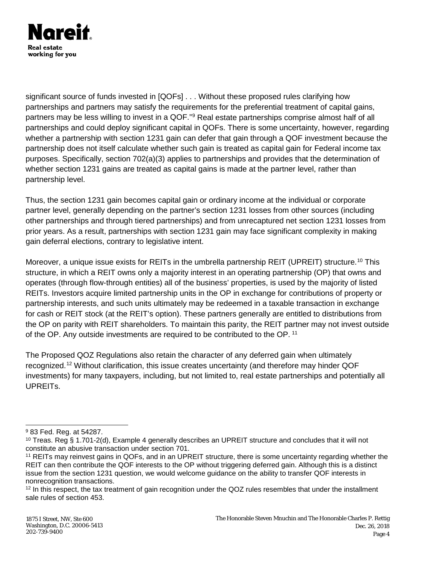

significant source of funds invested in [QOFs] . . . Without these proposed rules clarifying how partnerships and partners may satisfy the requirements for the preferential treatment of capital gains, partners may be less willing to invest in a QOF."<sup>[9](#page-3-0)</sup> Real estate partnerships comprise almost half of all partnerships and could deploy significant capital in QOFs. There is some uncertainty, however, regarding whether a partnership with section 1231 gain can defer that gain through a QOF investment because the partnership does not itself calculate whether such gain is treated as capital gain for Federal income tax purposes. Specifically, section 702(a)(3) applies to partnerships and provides that the determination of whether section 1231 gains are treated as capital gains is made at the partner level, rather than partnership level.

Thus, the section 1231 gain becomes capital gain or ordinary income at the individual or corporate partner level, generally depending on the partner's section 1231 losses from other sources (including other partnerships and through tiered partnerships) and from unrecaptured net section 1231 losses from prior years. As a result, partnerships with section 1231 gain may face significant complexity in making gain deferral elections, contrary to legislative intent.

Moreover, a unique issue exists for REITs in the umbrella partnership REIT (UPREIT) structure.<sup>[10](#page-3-1)</sup> This structure, in which a REIT owns only a majority interest in an operating partnership (OP) that owns and operates (through flow-through entities) all of the business' properties, is used by the majority of listed REITs. Investors acquire limited partnership units in the OP in exchange for contributions of property or partnership interests, and such units ultimately may be redeemed in a taxable transaction in exchange for cash or REIT stock (at the REIT's option). These partners generally are entitled to distributions from the OP on parity with REIT shareholders. To maintain this parity, the REIT partner may not invest outside of the OP. Any outside investments are required to be contributed to the OP. [11](#page-3-2)

The Proposed QOZ Regulations also retain the character of any deferred gain when ultimately recognized.[12](#page-3-3) Without clarification, this issue creates uncertainty (and therefore may hinder QOF investments) for many taxpayers, including, but not limited to, real estate partnerships and potentially all UPREITs.

<span id="page-3-0"></span> <sup>9</sup> 83 Fed. Reg. at 54287.

<span id="page-3-1"></span><sup>&</sup>lt;sup>10</sup> Treas. Reg § 1.701-2(d), Example 4 generally describes an UPREIT structure and concludes that it will not constitute an abusive transaction under section 701.

<span id="page-3-2"></span><sup>11</sup> REITs may reinvest gains in QOFs, and in an UPREIT structure, there is some uncertainty regarding whether the REIT can then contribute the QOF interests to the OP without triggering deferred gain. Although this is a distinct issue from the section 1231 question, we would welcome guidance on the ability to transfer QOF interests in nonrecognition transactions.

<span id="page-3-3"></span><sup>&</sup>lt;sup>12</sup> In this respect, the tax treatment of gain recognition under the QOZ rules resembles that under the installment sale rules of section 453.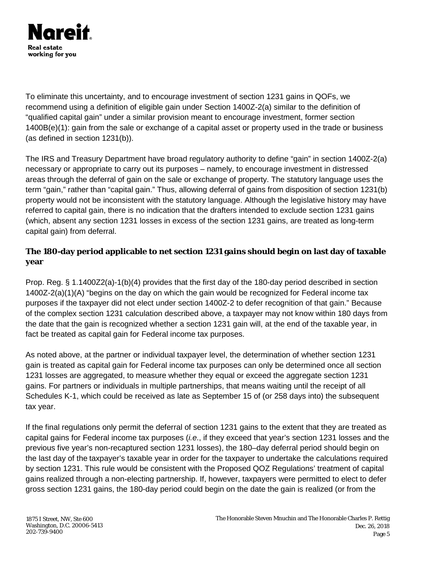

To eliminate this uncertainty, and to encourage investment of section 1231 gains in QOFs, we recommend using a definition of eligible gain under Section 1400Z-2(a) similar to the definition of "qualified capital gain" under a similar provision meant to encourage investment, former section 1400B(e)(1): gain from the sale or exchange of a capital asset or property used in the trade or business (as defined in section 1231(b)).

The IRS and Treasury Department have broad regulatory authority to define "gain" in section 1400Z-2(a) necessary or appropriate to carry out its purposes – namely, to encourage investment in distressed areas through the deferral of gain on the sale or exchange of property. The statutory language uses the term "gain," rather than "capital gain." Thus, allowing deferral of gains from disposition of section 1231(b) property would not be inconsistent with the statutory language. Although the legislative history may have referred to capital gain, there is no indication that the drafters intended to exclude section 1231 gains (which, absent any section 1231 losses in excess of the section 1231 gains, are treated as long-term capital gain) from deferral.

#### **The 180-day period applicable to net section 1231 gains should begin on last day of taxable year**

Prop. Reg. § 1.1400Z2(a)-1(b)(4) provides that the first day of the 180-day period described in section 1400Z-2(a)(1)(A) "begins on the day on which the gain would be recognized for Federal income tax purposes if the taxpayer did not elect under section 1400Z-2 to defer recognition of that gain." Because of the complex section 1231 calculation described above, a taxpayer may not know within 180 days from the date that the gain is recognized whether a section 1231 gain will, at the end of the taxable year, in fact be treated as capital gain for Federal income tax purposes.

As noted above, at the partner or individual taxpayer level, the determination of whether section 1231 gain is treated as capital gain for Federal income tax purposes can only be determined once all section 1231 losses are aggregated, to measure whether they equal or exceed the aggregate section 1231 gains. For partners or individuals in multiple partnerships, that means waiting until the receipt of all Schedules K-1, which could be received as late as September 15 of (or 258 days into) the subsequent tax year.

If the final regulations only permit the deferral of section 1231 gains to the extent that they are treated as capital gains for Federal income tax purposes (*i.e*., if they exceed that year's section 1231 losses and the previous five year's non-recaptured section 1231 losses), the 180–day deferral period should begin on the last day of the taxpayer's taxable year in order for the taxpayer to undertake the calculations required by section 1231. This rule would be consistent with the Proposed QOZ Regulations' treatment of capital gains realized through a non-electing partnership. If, however, taxpayers were permitted to elect to defer gross section 1231 gains, the 180-day period could begin on the date the gain is realized (or from the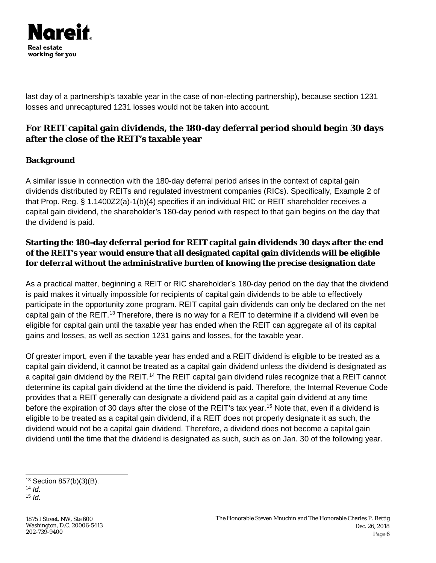

last day of a partnership's taxable year in the case of non-electing partnership), because section 1231 losses and unrecaptured 1231 losses would not be taken into account.

## **For REIT capital gain dividends, the 180-day deferral period should begin 30 days after the close of the REIT's taxable year**

#### **Background**

A similar issue in connection with the 180-day deferral period arises in the context of capital gain dividends distributed by REITs and regulated investment companies (RICs). Specifically, Example 2 of that Prop. Reg. § 1.1400Z2(a)-1(b)(4) specifies if an individual RIC or REIT shareholder receives a capital gain dividend, the shareholder's 180-day period with respect to that gain begins on the day that the dividend is paid.

### **Starting the 180-day deferral period for REIT capital gain dividends 30 days after the end of the REIT's year would ensure that all designated capital gain dividends will be eligible for deferral without the administrative burden of knowing the precise designation date**

As a practical matter, beginning a REIT or RIC shareholder's 180-day period on the day that the dividend is paid makes it virtually impossible for recipients of capital gain dividends to be able to effectively participate in the opportunity zone program. REIT capital gain dividends can only be declared on the net capital gain of the REIT.[13](#page-5-0) Therefore, there is no way for a REIT to determine if a dividend will even be eligible for capital gain until the taxable year has ended when the REIT can aggregate all of its capital gains and losses, as well as section 1231 gains and losses, for the taxable year.

Of greater import, even if the taxable year has ended and a REIT dividend is eligible to be treated as a capital gain dividend, it cannot be treated as a capital gain dividend unless the dividend is designated as a capital gain dividend by the REIT.<sup>[14](#page-5-1)</sup> The REIT capital gain dividend rules recognize that a REIT cannot determine its capital gain dividend at the time the dividend is paid. Therefore, the Internal Revenue Code provides that a REIT generally can designate a dividend paid as a capital gain dividend at any time before the expiration of 30 days after the close of the REIT's tax year.<sup>[15](#page-5-2)</sup> Note that, even if a dividend is eligible to be treated as a capital gain dividend, if a REIT does not properly designate it as such, the dividend would not be a capital gain dividend. Therefore, a dividend does not become a capital gain dividend until the time that the dividend is designated as such, such as on Jan. 30 of the following year.

<span id="page-5-0"></span> <sup>13</sup> Section 857(b)(3)(B).

<span id="page-5-1"></span><sup>14</sup> *Id*.

<span id="page-5-2"></span><sup>15</sup> *Id*.